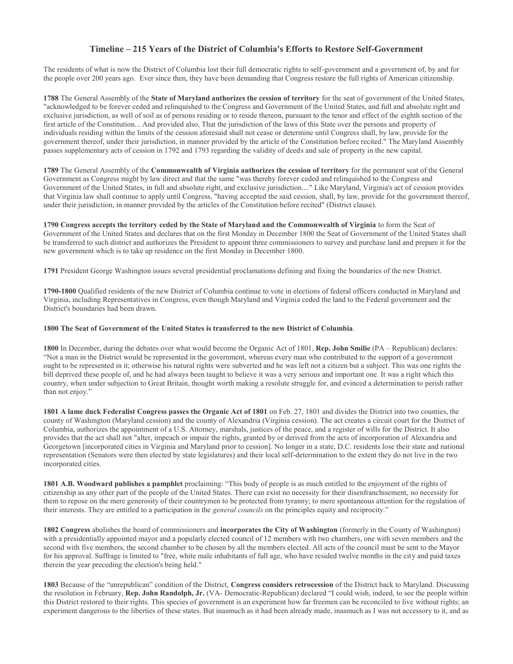## **Timeline – 215 Years of the District of Columbia's Efforts to Restore Self-Government**

The residents of what is now the District of Columbia lost their full democratic rights to self-government and a government of, by and for the people over 200 years ago. Ever since then, they have been demanding that Congress restore the full rights of American citizenship.

**1788** The General Assembly of the **State of Maryland authorizes the cession of territory** for the seat of government of the United States, "acknowledged to be forever ceded and relinquished to the Congress and Government of the United States, and full and absolute right and exclusive jurisdiction, as well of soil as of persons residing or to reside thereon, pursuant to the tenor and effect of the eighth section of the first article of the Constitution... And provided also, That the jurisdiction of the laws of this State over the persons and property of individuals residing within the limits of the cession aforesaid shall not cease or determine until Congress shall, by law, provide for the government thereof, under their jurisdiction, in manner provided by the article of the Constitution before recited." The Maryland Assembly passes supplementary acts of cession in 1792 and 1793 regarding the validity of deeds and sale of property in the new capital.

**1789** The General Assembly of the **Commonwealth of Virginia authorizes the cession of territory** for the permanent seat of the General Government as Congress might by law direct and that the same "was thereby forever ceded and relinquished to the Congress and Government of the United States, in full and absolute right, and exclusive jurisdiction...." Like Maryland, Virginia's act of cession provides that Virginia law shall continue to apply until Congress, "having accepted the said cession, shall, by law, provide for the government thereof, under their jurisdiction, in manner provided by the articles of the Constitution before recited" (District clause).

**1790 Congress accepts the territory ceded by the State of Maryland and the Commonwealth of Virginia** to form the Seat of Government of the United States and declares that on the first Monday in December 1800 the Seat of Government of the United States shall be transferred to such district and authorizes the President to appoint three commissioners to survey and purchase land and prepare it for the new government which is to take up residence on the first Monday in December 1800.

**1791** President George Washington issues several presidential proclamations defining and fixing the boundaries of the new District.

**1790-1800** Qualified residents of the new District of Columbia continue to vote in elections of federal officers conducted in Maryland and Virginia, including Representatives in Congress, even though Maryland and Virginia ceded the land to the Federal government and the District's boundaries had been drawn.

## **1800 The Seat of Government of the United States is transferred to the new District of Columbia**.

**1800** In December, during the debates over what would become the Organic Act of 1801, **Rep. John Smilie** (PA – Republican) declares: "Not a man in the District would be represented in the government, whereas every man who contributed to the support of a government ought to be represented in it; otherwise his natural rights were subverted and he was left not a citizen but a subject. This was one rights the bill deprived these people of, and he had always been taught to believe it was a very serious and important one. It was a right which this country, when under subjection to Great Britain, thought worth making a resolute struggle for, and evinced a determination to perish rather than not enjoy."

**1801 A lame duck Federalist Congress passes the Organic Act of 1801** on Feb. 27, 1801 and divides the District into two counties, the county of Washington (Maryland cession) and the county of Alexandria (Virginia cession). The act creates a circuit court for the District of Columbia, authorizes the appointment of a U.S. Attorney, marshals, justices of the peace, and a register of wills for the District. It also provides that the act shall not "alter, impeach or impair the rights, granted by or derived from the acts of incorporation of Alexandria and Georgetown [incorporated cities in Virginia and Maryland prior to cession]. No longer in a state, D.C. residents lose their state and national representation (Senators were then elected by state legislatures) and their local self-determination to the extent they do not live in the two incorporated cities.

**1801 A.B. Woodward publishes a pamphlet** proclaiming: "This body of people is as much entitled to the enjoyment of the rights of citizenship as any other part of the people of the United States. There can exist no necessity for their disenfranchisement, no necessity for them to repose on the mere generosity of their countrymen to be protected from tyranny; to mere spontaneous attention for the regulation of their interests. They are entitled to a participation in the *general councils* on the principles equity and reciprocity."

**1802 Congress** abolishes the board of commissioners and **incorporates the City of Washington** (formerly in the County of Washington) with a presidentially appointed mayor and a popularly elected council of 12 members with two chambers, one with seven members and the second with five members, the second chamber to be chosen by all the members elected. All acts of the council must be sent to the Mayor for his approval. Suffrage is limited to "free, white male inhabitants of full age, who have resided twelve months in the city and paid taxes therein the year preceding the election's being held."

**1803** Because of the "unrepublican" condition of the District, **Congress considers retrocession** of the District back to Maryland. Discussing the resolution in February, **Rep. John Randolph, Jr.** (VA- Democratic-Republican) declared "I could wish, indeed, to see the people within this District restored to their rights. This species of government is an experiment how far freemen can be reconciled to live without rights; an experiment dangerous to the liberties of these states. But inasmuch as it had been already made, inasmuch as I was not accessory to it, and as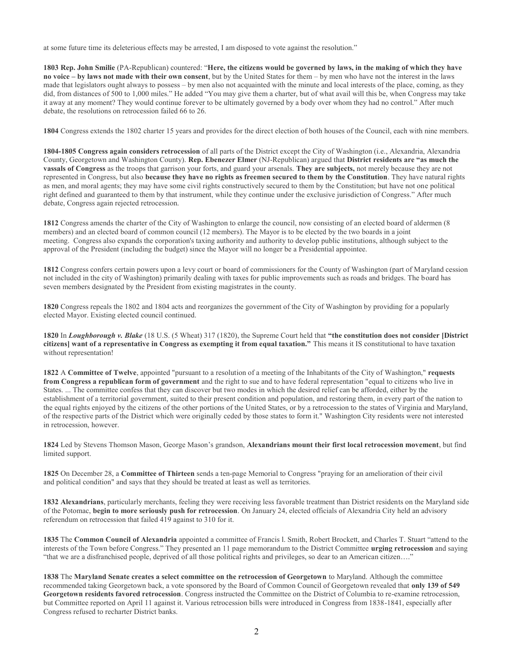at some future time its deleterious effects may be arrested, I am disposed to vote against the resolution."

**1803 Rep. John Smilie** (PA-Republican) countered: "**Here, the citizens would be governed by laws, in the making of which they have no voice – by laws not made with their own consent**, but by the United States for them – by men who have not the interest in the laws made that legislators ought always to possess – by men also not acquainted with the minute and local interests of the place, coming, as they did, from distances of 500 to 1,000 miles." He added "You may give them a charter, but of what avail will this be, when Congress may take it away at any moment? They would continue forever to be ultimately governed by a body over whom they had no control." After much debate, the resolutions on retrocession failed 66 to 26.

**1804** Congress extends the 1802 charter 15 years and provides for the direct election of both houses of the Council, each with nine members.

**1804-1805 Congress again considers retrocession** of all parts of the District except the City of Washington (i.e., Alexandria, Alexandria County, Georgetown and Washington County). **Rep. Ebenezer Elmer** (NJ-Republican) argued that **District residents are "as much the vassals of Congress** as the troops that garrison your forts, and guard your arsenals. **They are subjects,** not merely because they are not represented in Congress, but also **because they have no rights as freemen secured to them by the Constitution**. They have natural rights as men, and moral agents; they may have some civil rights constructively secured to them by the Constitution; but have not one political right defined and guaranteed to them by that instrument, while they continue under the exclusive jurisdiction of Congress." After much debate, Congress again rejected retrocession.

**1812** Congress amends the charter of the City of Washington to enlarge the council, now consisting of an elected board of aldermen (8 members) and an elected board of common council (12 members). The Mayor is to be elected by the two boards in a joint meeting. Congress also expands the corporation's taxing authority and authority to develop public institutions, although subject to the approval of the President (including the budget) since the Mayor will no longer be a Presidential appointee.

**1812** Congress confers certain powers upon a levy court or board of commissioners for the County of Washington (part of Maryland cession not included in the city of Washington) primarily dealing with taxes for public improvements such as roads and bridges. The board has seven members designated by the President from existing magistrates in the county.

**1820** Congress repeals the 1802 and 1804 acts and reorganizes the government of the City of Washington by providing for a popularly elected Mayor. Existing elected council continued.

**1820** In *Loughborough v. Blake* (18 U.S. (5 Wheat) 317 (1820), the Supreme Court held that **"the constitution does not consider [District citizens] want of a representative in Congress as exempting it from equal taxation."** This means it IS constitutional to have taxation without representation!

**1822** A **Committee of Twelve**, appointed "pursuant to a resolution of a meeting of the Inhabitants of the City of Washington," **requests from Congress a republican form of government** and the right to sue and to have federal representation "equal to citizens who live in States. ... The committee confess that they can discover but two modes in which the desired relief can be afforded, either by the establishment of a territorial government, suited to their present condition and population, and restoring them, in every part of the nation to the equal rights enjoyed by the citizens of the other portions of the United States, or by a retrocession to the states of Virginia and Maryland, of the respective parts of the District which were originally ceded by those states to form it." Washington City residents were not interested in retrocession, however.

**1824** Led by Stevens Thomson Mason, George Mason's grandson, **Alexandrians mount their first local retrocession movement**, but find limited support.

**1825** On December 28, a **Committee of Thirteen** sends a ten-page Memorial to Congress "praying for an amelioration of their civil and political condition" and says that they should be treated at least as well as territories.

**1832 Alexandrians**, particularly merchants, feeling they were receiving less favorable treatment than District residents on the Maryland side of the Potomac, **begin to more seriously push for retrocession**. On January 24, elected officials of Alexandria City held an advisory referendum on retrocession that failed 419 against to 310 for it.

**1835** The **Common Council of Alexandria** appointed a committee of Francis l. Smith, Robert Brockett, and Charles T. Stuart "attend to the interests of the Town before Congress." They presented an 11 page memorandum to the District Committee **urging retrocession** and saying "that we are a disfranchised people, deprived of all those political rights and privileges, so dear to an American citizen…."

**1838** The **Maryland Senate creates a select committee on the retrocession of Georgetown** to Maryland. Although the committee recommended taking Georgetown back, a vote sponsored by the Board of Common Council of Georgetown revealed that **only 139 of 549 Georgetown residents favored retrocession**. Congress instructed the Committee on the District of Columbia to re-examine retrocession, but Committee reported on April 11 against it. Various retrocession bills were introduced in Congress from 1838-1841, especially after Congress refused to recharter District banks.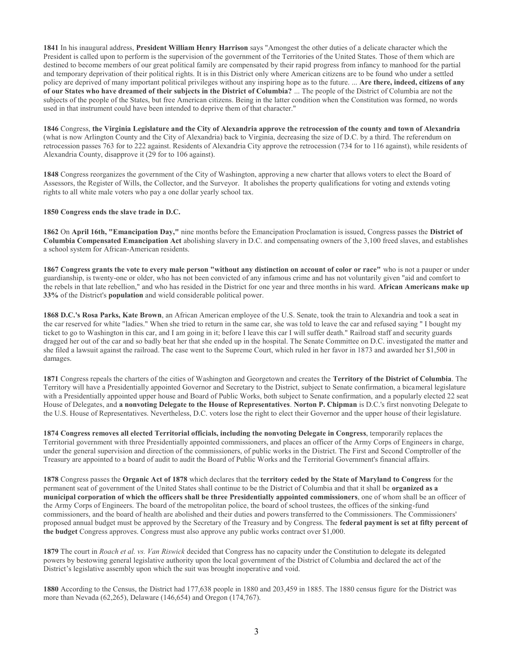**1841** In his inaugural address, **President William Henry Harrison** says "Amongest the other duties of a delicate character which the President is called upon to perform is the supervision of the government of the Territories of the United States. Those of them which are destined to become members of our great political family are compensated by their rapid progress from infancy to manhood for the partial and temporary deprivation of their political rights. It is in this District only where American citizens are to be found who under a settled policy are deprived of many important political privileges without any inspiring hope as to the future. ... **Are there, indeed, citizens of any of our States who have dreamed of their subjects in the District of Columbia?** ... The people of the District of Columbia are not the subjects of the people of the States, but free American citizens. Being in the latter condition when the Constitution was formed, no words used in that instrument could have been intended to deprive them of that character."

**1846** Congress, **the Virginia Legislature and the City of Alexandria approve the retrocession of the county and town of Alexandria** (what is now Arlington County and the City of Alexandria) back to Virginia, decreasing the size of D.C. by a third. The referendum on retrocession passes 763 for to 222 against. Residents of Alexandria City approve the retrocession (734 for to 116 against), while residents of Alexandria County, disapprove it (29 for to 106 against).

**1848** Congress reorganizes the government of the City of Washington, approving a new charter that allows voters to elect the Board of Assessors, the Register of Wills, the Collector, and the Surveyor. It abolishes the property qualifications for voting and extends voting rights to all white male voters who pay a one dollar yearly school tax.

## **1850 Congress ends the slave trade in D.C.**

**1862** On **April 16th, "Emancipation Day,"** nine months before the Emancipation Proclamation is issued, Congress passes the **District of Columbia Compensated Emancipation Act** abolishing slavery in D.C. and compensating owners of the 3,100 freed slaves, and establishes a school system for African-American residents.

**1867 Congress grants the vote to every male person "without any distinction on account of color or race"** who is not a pauper or under guardianship, is twenty-one or older, who has not been convicted of any infamous crime and has not voluntarily given "aid and comfort to the rebels in that late rebellion," and who has resided in the District for one year and three months in his ward. **African Americans make up 33%** of the District's **population** and wield considerable political power.

**1868 D.C.'s Rosa Parks, Kate Brown**, an African American employee of the U.S. Senate, took the train to Alexandria and took a seat in the car reserved for white "ladies." When she tried to return in the same car, she was told to leave the car and refused saying " I bought my ticket to go to Washington in this car, and I am going in it; before I leave this car I will suffer death." Railroad staff and security guards dragged her out of the car and so badly beat her that she ended up in the hospital. The Senate Committee on D.C. investigated the matter and she filed a lawsuit against the railroad. The case went to the Supreme Court, which ruled in her favor in 1873 and awarded her \$1,500 in damages.

**1871** Congress repeals the charters of the cities of Washington and Georgetown and creates the **Territory of the District of Columbia**. The Territory will have a Presidentially appointed Governor and Secretary to the District, subject to Senate confirmation, a bicameral legislature with a Presidentially appointed upper house and Board of Public Works, both subject to Senate confirmation, and a popularly elected 22 seat House of Delegates, and **a nonvoting Delegate to the House of Representatives**. **Norton P. Chipman** is D.C.'s first nonvoting Delegate to the U.S. House of Representatives. Nevertheless, D.C. voters lose the right to elect their Governor and the upper house of their legislature.

**1874 Congress removes all elected Territorial officials, including the nonvoting Delegate in Congress**, temporarily replaces the Territorial government with three Presidentially appointed commissioners, and places an officer of the Army Corps of Engineers in charge, under the general supervision and direction of the commissioners, of public works in the District. The First and Second Comptroller of the Treasury are appointed to a board of audit to audit the Board of Public Works and the Territorial Government's financial affairs.

**1878** Congress passes the **Organic Act of 1878** which declares that the **territory ceded by the State of Maryland to Congress** for the permanent seat of government of the United States shall continue to be the District of Columbia and that it shall be **organized as a municipal corporation of which the officers shall be three Presidentially appointed commissioners**, one of whom shall be an officer of the Army Corps of Engineers. The board of the metropolitan police, the board of school trustees, the offices of the sinking-fund commissioners, and the board of health are abolished and their duties and powers transferred to the Commissioners. The Commissioners' proposed annual budget must be approved by the Secretary of the Treasury and by Congress. The **federal payment is set at fifty percent of the budget** Congress approves. Congress must also approve any public works contract over \$1,000.

**1879** The court in *Roach et al. vs. Van Riswick* decided that Congress has no capacity under the Constitution to delegate its delegated powers by bestowing general legislative authority upon the local government of the District of Columbia and declared the act of the District's legislative assembly upon which the suit was brought inoperative and void.

**1880** According to the Census, the District had 177,638 people in 1880 and 203,459 in 1885. The 1880 census figure for the District was more than Nevada (62,265), Delaware (146,654) and Oregon (174,767).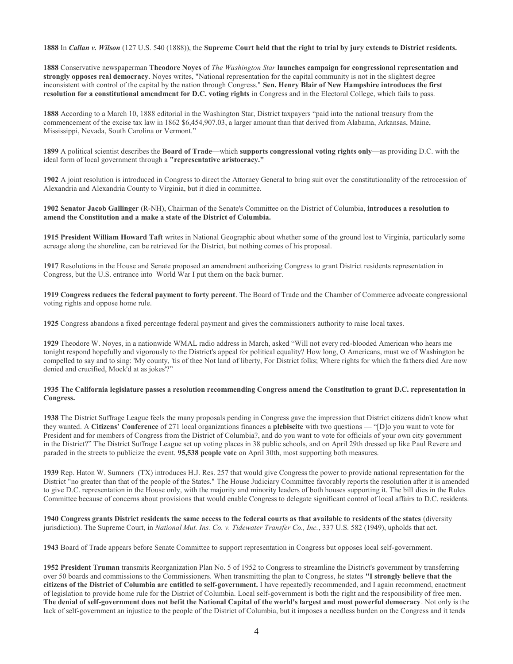**1888** In *Callan v. Wilson* (127 U.S. 540 (1888)), the **Supreme Court held that the right to trial by jury extends to District residents.**

**1888** Conservative newspaperman **Theodore Noyes** of *The Washington Star* **launches campaign for congressional representation and strongly opposes real democracy**. Noyes writes, "National representation for the capital community is not in the slightest degree inconsistent with control of the capital by the nation through Congress." **Sen. Henry Blair of New Hampshire introduces the first resolution for a constitutional amendment for D.C. voting rights** in Congress and in the Electoral College, which fails to pass.

**1888** According to a March 10, 1888 editorial in the Washington Star, District taxpayers "paid into the national treasury from the commencement of the excise tax law in 1862 \$6,454,907.03, a larger amount than that derived from Alabama, Arkansas, Maine, Mississippi, Nevada, South Carolina or Vermont."

**1899** A political scientist describes the **Board of Trade**—which **supports congressional voting rights only**—as providing D.C. with the ideal form of local government through a **"representative aristocracy."**

**1902** A joint resolution is introduced in Congress to direct the Attorney General to bring suit over the constitutionality of the retrocession of Alexandria and Alexandria County to Virginia, but it died in committee.

**1902 Senator Jacob Gallinger** (R-NH), Chairman of the Senate's Committee on the District of Columbia, **introduces a resolution to amend the Constitution and a make a state of the District of Columbia.**

**1915 President William Howard Taft** writes in National Geographic about whether some of the ground lost to Virginia, particularly some acreage along the shoreline, can be retrieved for the District, but nothing comes of his proposal.

**1917** Resolutions in the House and Senate proposed an amendment authorizing Congress to grant District residents representation in Congress, but the U.S. entrance into World War I put them on the back burner.

**1919 Congress reduces the federal payment to forty percent**. The Board of Trade and the Chamber of Commerce advocate congressional voting rights and oppose home rule.

**1925** Congress abandons a fixed percentage federal payment and gives the commissioners authority to raise local taxes.

**1929** Theodore W. Noyes, in a nationwide WMAL radio address in March, asked "Will not every red-blooded American who hears me tonight respond hopefully and vigorously to the District's appeal for political equality? How long, O Americans, must we of Washington be compelled to say and to sing: 'My county, 'tis of thee Not land of liberty, For District folks; Where rights for which the fathers died Are now denied and crucified, Mock'd at as jokes'?"

## **1935 The California legislature passes a resolution recommending Congress amend the Constitution to grant D.C. representation in Congress.**

**1938** The District Suffrage League feels the many proposals pending in Congress gave the impression that District citizens didn't know what they wanted. A **Citizens' Conference** of 271 local organizations finances a **plebiscite** with two questions — "[D]o you want to vote for President and for members of Congress from the District of Columbia?, and do you want to vote for officials of your own city government in the District?" The District Suffrage League set up voting places in 38 public schools, and on April 29th dressed up like Paul Revere and paraded in the streets to publicize the event. **95,538 people vote** on April 30th, most supporting both measures.

**1939** Rep. Haton W. Sumners (TX) introduces H.J. Res. 257 that would give Congress the power to provide national representation for the District "no greater than that of the people of the States." The House Judiciary Committee favorably reports the resolution after it is amended to give D.C. representation in the House only, with the majority and minority leaders of both houses supporting it. The bill dies in the Rules Committee because of concerns about provisions that would enable Congress to delegate significant control of local affairs to D.C. residents.

**1940 Congress grants District residents the same access to the federal courts as that available to residents of the states** (diversity jurisdiction). The Supreme Court, in *National Mut. Ins. Co. v. Tidewater Transfer Co., Inc.*, 337 U.S. 582 (1949), upholds that act.

**1943** Board of Trade appears before Senate Committee to support representation in Congress but opposes local self-government.

**1952 President Truman** transmits Reorganization Plan No. 5 of 1952 to Congress to streamline the District's government by transferring over 50 boards and commissions to the Commissioners. When transmitting the plan to Congress, he states **"I strongly believe that the citizens of the District of Columbia are entitled to self-government.** I have repeatedly recommended, and I again recommend, enactment of legislation to provide home rule for the District of Columbia. Local self-government is both the right and the responsibility of free men. **The denial of self-government does not befit the National Capital of the world's largest and most powerful democracy**. Not only is the lack of self-government an injustice to the people of the District of Columbia, but it imposes a needless burden on the Congress and it tends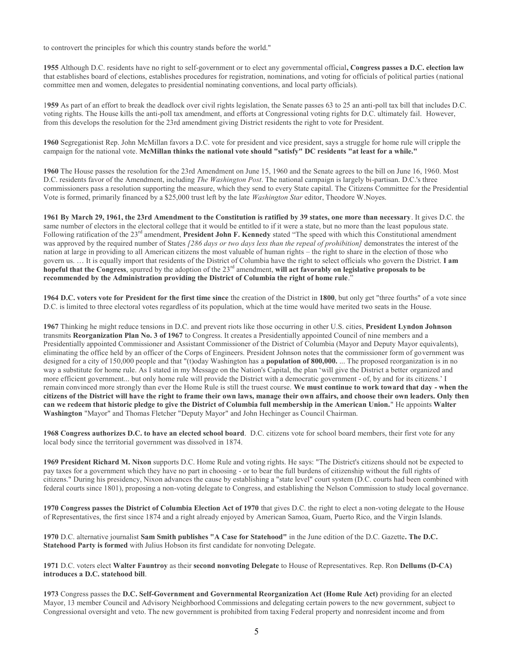to controvert the principles for which this country stands before the world."

**1955** Although D.C. residents have no right to self-government or to elect any governmental official**, Congress passes a D.C. election law** that establishes board of elections, establishes procedures for registration, nominations, and voting for officials of political parties (national committee men and women, delegates to presidential nominating conventions, and local party officials).

1**959** As part of an effort to break the deadlock over civil rights legislation, the Senate passes 63 to 25 an anti-poll tax bill that includes D.C. voting rights. The House kills the anti-poll tax amendment, and efforts at Congressional voting rights for D.C. ultimately fail. However, from this develops the resolution for the 23rd amendment giving District residents the right to vote for President.

**1960** Segregationist Rep. John McMillan favors a D.C. vote for president and vice president, says a struggle for home rule will cripple the campaign for the national vote. **McMillan thinks the national vote should "satisfy" DC residents "at least for a while."**

**1960** The House passes the resolution for the 23rd Amendment on June 15, 1960 and the Senate agrees to the bill on June 16, 1960. Most D.C. residents favor of the Amendment, including *The Washington Post*. The national campaign is largely bi-partisan. D.C.'s three commissioners pass a resolution supporting the measure, which they send to every State capital. The Citizens Committee for the Presidential Vote is formed, primarily financed by a \$25,000 trust left by the late *Washington Star* editor, Theodore W.Noyes.

**1961 By March 29, 1961, the 23rd Amendment to the Constitution is ratified by 39 states, one more than necessary**. It gives D.C. the same number of electors in the electoral college that it would be entitled to if it were a state, but no more than the least populous state. Following ratification of the 23<sup>rd</sup> amendment, **President John F. Kennedy** stated "The speed with which this Constitutional amendment was approved by the required number of States *[286 days or two days less than the repeal of prohibition]* demonstrates the interest of the nation at large in providing to all American citizens the most valuable of human rights – the right to share in the election of those who govern us. … It is equally import that residents of the District of Columbia have the right to select officials who govern the District. **I am hopeful that the Congress**, spurred by the adoption of the 23<sup>rd</sup> amendment, will act favorably on legislative proposals to be **recommended by the Administration providing the District of Columbia the right of home rule**."

**1964 D.C. voters vote for President for the first time since** the creation of the District in **1800**, but only get "three fourths" of a vote since D.C. is limited to three electoral votes regardless of its population, which at the time would have merited two seats in the House.

**1967** Thinking he might reduce tensions in D.C. and prevent riots like those occurring in other U.S. cities, **President Lyndon Johnson** transmits **Reorganization Plan No. 3 of 1967** to Congress. It creates a Presidentially appointed Council of nine members and a Presidentially appointed Commissioner and Assistant Commissioner of the District of Columbia (Mayor and Deputy Mayor equivalents), eliminating the office held by an officer of the Corps of Engineers. President Johnson notes that the commissioner form of government was designed for a city of 150,000 people and that "(t)oday Washington has a **population of 800,000.** ... The proposed reorganization is in no way a substitute for home rule. As I stated in my Message on the Nation's Capital, the plan 'will give the District a better organized and more efficient government... but only home rule will provide the District with a democratic government - of, by and for its citizens.' I remain convinced more strongly than ever the Home Rule is still the truest course. **We must continue to work toward that day - when the citizens of the District will have the right to frame their own laws, manage their own affairs, and choose their own leaders. Only then can we redeem that historic pledge to give the District of Columbia full membership in the American Union.**" He appoints **Walter Washington** "Mayor" and Thomas Fletcher "Deputy Mayor" and John Hechinger as Council Chairman.

**1968 Congress authorizes D.C. to have an elected school board**. D.C. citizens vote for school board members, their first vote for any local body since the territorial government was dissolved in 1874.

**1969 President Richard M. Nixon** supports D.C. Home Rule and voting rights. He says: "The District's citizens should not be expected to pay taxes for a government which they have no part in choosing - or to bear the full burdens of citizenship without the full rights of citizens." During his presidency, Nixon advances the cause by establishing a "state level" court system (D.C. courts had been combined with federal courts since 1801), proposing a non-voting delegate to Congress, and establishing the Nelson Commission to study local governance.

**1970 Congress passes the District of Columbia Election Act of 1970** that gives D.C. the right to elect a non-voting delegate to the House of Representatives, the first since 1874 and a right already enjoyed by American Samoa, Guam, Puerto Rico, and the Virgin Islands.

**1970** D.C. alternative journalist **Sam Smith publishes "A Case for Statehood"** in the June edition of the D.C. Gazette**. The D.C. Statehood Party is formed** with Julius Hobson its first candidate for nonvoting Delegate.

**1971** D.C. voters elect **Walter Fauntroy** as their **second nonvoting Delegate** to House of Representatives. Rep. Ron **Dellums (D-CA) introduces a D.C. statehood bill**.

**1973** Congress passes the **D.C. Self-Government and Governmental Reorganization Act (Home Rule Act)** providing for an elected Mayor, 13 member Council and Advisory Neighborhood Commissions and delegating certain powers to the new government, subject to Congressional oversight and veto. The new government is prohibited from taxing Federal property and nonresident income and from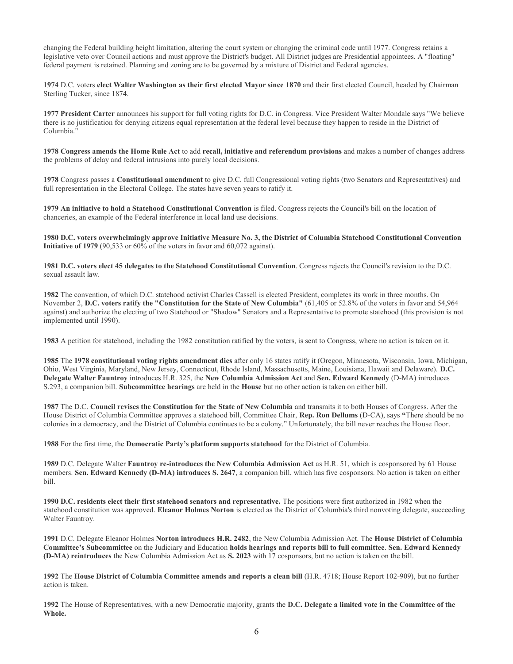changing the Federal building height limitation, altering the court system or changing the criminal code until 1977. Congress retains a legislative veto over Council actions and must approve the District's budget. All District judges are Presidential appointees. A "floating" federal payment is retained. Planning and zoning are to be governed by a mixture of District and Federal agencies.

**1974** D.C. voters **elect Walter Washington as their first elected Mayor since 1870** and their first elected Council, headed by Chairman Sterling Tucker, since 1874.

**1977 President Carter** announces his support for full voting rights for D.C. in Congress. Vice President Walter Mondale says "We believe there is no justification for denying citizens equal representation at the federal level because they happen to reside in the District of Columbia."

**1978 Congress amends the Home Rule Act** to add **recall, initiative and referendum provisions** and makes a number of changes address the problems of delay and federal intrusions into purely local decisions.

**1978** Congress passes a **Constitutional amendment** to give D.C. full Congressional voting rights (two Senators and Representatives) and full representation in the Electoral College. The states have seven years to ratify it.

**1979 An initiative to hold a Statehood Constitutional Convention** is filed. Congress rejects the Council's bill on the location of chanceries, an example of the Federal interference in local land use decisions.

**1980 D.C. voters overwhelmingly approve Initiative Measure No. 3, the District of Columbia Statehood Constitutional Convention Initiative of 1979** (90,533 or 60% of the voters in favor and 60,072 against).

**1981 D.C. voters elect 45 delegates to the Statehood Constitutional Convention**. Congress rejects the Council's revision to the D.C. sexual assault law.

**1982** The convention, of which D.C. statehood activist Charles Cassell is elected President, completes its work in three months. On November 2, **D.C. voters ratify the "Constitution for the State of New Columbia"** (61,405 or 52.8% of the voters in favor and 54,964 against) and authorize the electing of two Statehood or "Shadow" Senators and a Representative to promote statehood (this provision is not implemented until 1990).

**1983** A petition for statehood, including the 1982 constitution ratified by the voters, is sent to Congress, where no action is taken on it.

**1985** The **1978 constitutional voting rights amendment dies** after only 16 states ratify it (Oregon, Minnesota, Wisconsin, Iowa, Michigan, Ohio, West Virginia, Maryland, New Jersey, Connecticut, Rhode Island, Massachusetts, Maine, Louisiana, Hawaii and Delaware). **D.C. Delegate Walter Fauntroy** introduces H.R. 325, the **New Columbia Admission Act** and **Sen. Edward Kennedy** (D-MA) introduces S.293, a companion bill. **Subcommittee hearings** are held in the **House** but no other action is taken on either bill.

**1987** The D.C. **Council revises the Constitution for the State of New Columbia** and transmits it to both Houses of Congress. After the House District of Columbia Committee approves a statehood bill, Committee Chair, **Rep. Ron Dellums** (D-CA), says **"**There should be no colonies in a democracy, and the District of Columbia continues to be a colony." Unfortunately, the bill never reaches the House floor.

**1988** For the first time, the **Democratic Party's platform supports statehood** for the District of Columbia.

**1989** D.C. Delegate Walter **Fauntroy re-introduces the New Columbia Admission Act** as H.R. 51, which is cosponsored by 61 House members. **Sen. Edward Kennedy (D-MA) introduces S. 2647**, a companion bill, which has five cosponsors. No action is taken on either bill.

**1990 D.C. residents elect their first statehood senators and representative.** The positions were first authorized in 1982 when the statehood constitution was approved. **Eleanor Holmes Norton** is elected as the District of Columbia's third nonvoting delegate, succeeding Walter Fauntroy.

**1991** D.C. Delegate Eleanor Holmes **Norton introduces H.R. 2482**, the New Columbia Admission Act. The **House District of Columbia Committee's Subcommittee** on the Judiciary and Education **holds hearings and reports bill to full committee**. **Sen. Edward Kennedy (D-MA) reintroduces** the New Columbia Admission Act as **S. 2023** with 17 cosponsors, but no action is taken on the bill.

**1992** The **House District of Columbia Committee amends and reports a clean bill** (H.R. 4718; House Report 102-909), but no further action is taken.

**1992** The House of Representatives, with a new Democratic majority, grants the **D.C. Delegate a limited vote in the Committee of the Whole.**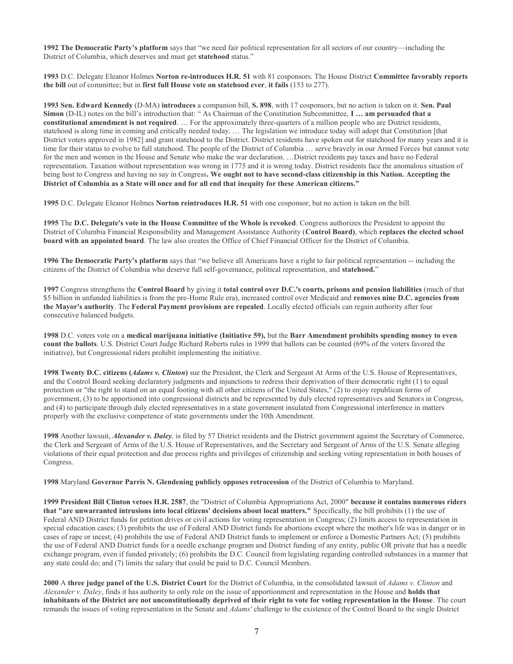**1992 The Democratic Party's platform** says that "we need fair political representation for all sectors of our country—including the District of Columbia, which deserves and must get **statehood** status."

**1993** D.C. Delegate Eleanor Holmes **Norton re-introduces H.R. 51** with 81 cosponsors. The House District **Committee favorably reports the bill** out of committee; but in **first full House vote on statehood ever**, **it fails** (153 to 277).

**1993 Sen. Edward Kennedy** (D-MA) **introduces** a companion bill, **S. 898**, with 17 cosponsors, but no action is taken on it. **Sen. Paul Simon** (D-IL) notes on the bill's introduction that: " As Chairman of the Constitution Subcommittee, **I … am persuaded that a constitutional amendment is not required**. … For the approximately three-quarters of a million people who are District residents, statehood is along time in coming and critically needed today. … The legislation we introduce today will adopt that Constitution [that District voters approved in 1982] and grant statehood to the District. District residents have spoken out for statehood for many years and it is time for their status to evolve to full statehood. The people of the District of Columbia … serve bravely in our Armed Forces but cannot vote for the men and women in the House and Senate who make the war declaration. …District residents pay taxes and have no Federal representation. Taxation without representation was wrong in 1775 and it is wrong today. District residents face the anomalous situation of being host to Congress and having no say in Congress**. We ought not to have second-class citizenship in this Nation. Accepting the District of Columbia as a State will once and for all end that inequity for these American citizens."**

**1995** D.C. Delegate Eleanor Holmes **Norton reintroduces H.R. 51** with one cosponsor, but no action is taken on the bill.

**1995** The **D.C. Delegate's vote in the House Committee of the Whole is revoked**. Congress authorizes the President to appoint the District of Columbia Financial Responsibility and Management Assistance Authority (**Control Board)**, which **replaces the elected school board with an appointed board**. The law also creates the Office of Chief Financial Officer for the District of Columbia.

**1996 The Democratic Party's platform** says that "we believe all Americans have a right to fair political representation -- including the citizens of the District of Columbia who deserve full self-governance, political representation, and **statehood.**"

**1997** Congress strengthens the **Control Board** by giving it **total control over D.C.'s courts, prisons and pension liabilities** (much of that \$5 billion in unfunded liabilities is from the pre-Home Rule era), increased control over Medicaid and **removes nine D.C. agencies from the Mayor's authority**. The **Federal Payment provisions are repealed**. Locally elected officials can regain authority after four consecutive balanced budgets.

**1998** D.C. voters vote on a **medical marijuana initiative (Initiative 59),** but the **Barr Amendment prohibits spending money to even count the ballots**. U.S. District Court Judge Richard Roberts rules in 1999 that ballots can be counted (69% of the voters favored the initiative), but Congressional riders prohibit implementing the initiative.

**1998 Twenty D.C. citizens (***Adams v. Clinton***)** sue the President, the Clerk and Sergeant At Arms of the U.S. House of Representatives, and the Control Board seeking declaratory judgments and injunctions to redress their deprivation of their democratic right (1) to equal protection or "the right to stand on an equal footing with all other citizens of the United States," (2) to enjoy republican forms of government, (3) to be apportioned into congressional districts and be represented by duly elected representatives and Senators in Congress, and (4) to participate through duly elected representatives in a state government insulated from Congressional interference in matters properly with the exclusive competence of state governments under the 10th Amendment.

**1998** Another lawsuit, *Alexander v. Daley,* is filed by 57 District residents and the District government against the Secretary of Commerce, the Clerk and Sergeant of Arms of the U.S. House of Representatives, and the Secretary and Sergeant of Arms of the U.S. Senate alleging violations of their equal protection and due process rights and privileges of citizenship and seeking voting representation in both houses of Congress.

**1998** Maryland **Governor Parris N. Glendening publicly opposes retrocession** of the District of Columbia to Maryland.

**1999 President Bill Clinton vetoes H.R. 2587**, the "District of Columbia Appropriations Act, 2000" **because it contains numerous riders that "are unwarranted intrusions into local citizens' decisions about local matters."** Specifically, the bill prohibits (1) the use of Federal AND District funds for petition drives or civil actions for voting representation in Congress; (2) limits access to representation in special education cases; (3) prohibits the use of Federal AND District funds for abortions except where the mother's life was in danger or in cases of rape or incest; (4) prohibits the use of Federal AND District funds to implement or enforce a Domestic Partners Act; (5) prohibits the use of Federal AND District funds for a needle exchange program and District funding of any entity, public OR private that has a needle exchange program, even if funded privately; (6) prohibits the D.C. Council from legislating regarding controlled substances in a manner that any state could do; and (7) limits the salary that could be paid to D.C. Council Members.

**2000** A **three judge panel of the U.S. District Court** for the District of Columbia, in the consolidated lawsuit of *Adams v. Clinton* and *Alexander v. Daley*, finds it has authority to only rule on the issue of apportionment and representation in the House and **holds that inhabitants of the District are not unconstitutionally deprived of their right to vote for voting representation in the House**. The court remands the issues of voting representation in the Senate and *Adams'* challenge to the existence of the Control Board to the single District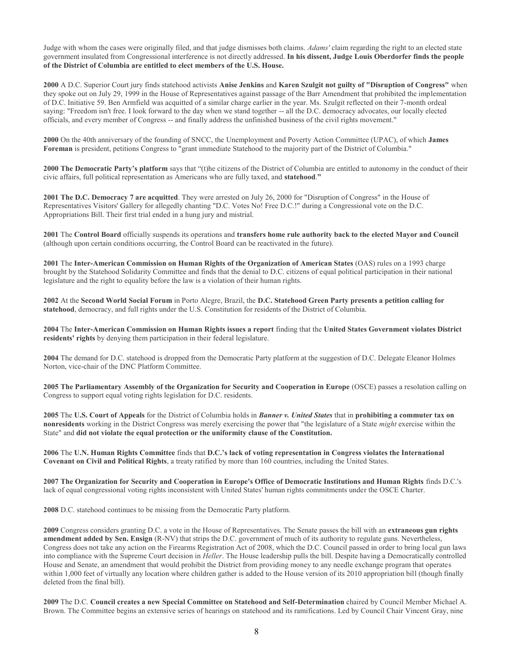Judge with whom the cases were originally filed, and that judge dismisses both claims. *Adams'* claim regarding the right to an elected state government insulated from Congressional interference is not directly addressed. **In his dissent, Judge Louis Oberdorfer finds the people of the District of Columbia are entitled to elect members of the U.S. House.**

**2000** A D.C. Superior Court jury finds statehood activists **Anise Jenkins** and **Karen Szulgit not guilty of "Disruption of Congress"** when they spoke out on July 29, 1999 in the House of Representatives against passage of the Barr Amendment that prohibited the implementation of D.C. Initiative 59. Ben Armfield was acquitted of a similar charge earlier in the year. Ms. Szulgit reflected on their 7-month ordeal saying: "Freedom isn't free. I look forward to the day when we stand together -- all the D.C. democracy advocates, our locally elected officials, and every member of Congress -- and finally address the unfinished business of the civil rights movement."

**2000** On the 40th anniversary of the founding of SNCC, the Unemployment and Poverty Action Committee (UPAC), of which **James Foreman** is president, petitions Congress to "grant immediate Statehood to the majority part of the District of Columbia."

**2000 The Democratic Party's platform** says that "(t)he citizens of the District of Columbia are entitled to autonomy in the conduct of their civic affairs, full political representation as Americans who are fully taxed, and **statehood**.**"**

**2001 The D.C. Democracy 7 are acquitted**. They were arrested on July 26, 2000 for "Disruption of Congress" in the House of Representatives Visitors' Gallery for allegedly chanting "D.C. Votes No! Free D.C.!" during a Congressional vote on the D.C. Appropriations Bill. Their first trial ended in a hung jury and mistrial.

**2001** The **Control Board** officially suspends its operations and **transfers home rule authority back to the elected Mayor and Council**  (although upon certain conditions occurring, the Control Board can be reactivated in the future).

**2001** The **Inter-American Commission on Human Rights of the Organization of American States** (OAS) rules on a 1993 charge brought by the Statehood Solidarity Committee and finds that the denial to D.C. citizens of equal political participation in their national legislature and the right to equality before the law is a violation of their human rights.

**2002** At the **Second World Social Forum** in Porto Alegre, Brazil, the **D.C. Statehood Green Party presents a petition calling for statehood**, democracy, and full rights under the U.S. Constitution for residents of the District of Columbia.

**2004** The **Inter-American Commission on Human Rights issues a report** finding that the **United States Government violates District residents' rights** by denying them participation in their federal legislature.

**2004** The demand for D.C. statehood is dropped from the Democratic Party platform at the suggestion of D.C. Delegate Eleanor Holmes Norton, vice-chair of the DNC Platform Committee.

**2005 The Parliamentary Assembly of the Organization for Security and Cooperation in Europe** (OSCE) passes a resolution calling on Congress to support equal voting rights legislation for D.C. residents.

**2005** The **U.S. Court of Appeals** for the District of Columbia holds in *Banner v. United States* that in **prohibiting a commuter tax on nonresidents** working in the District Congress was merely exercising the power that "the legislature of a State *might* exercise within the State" and **did not violate the equal protection or the uniformity clause of the Constitution.**

**2006** The **U.N. Human Rights Committee** finds that **D.C.'s lack of voting representation in Congress violates the International Covenant on Civil and Political Rights**, a treaty ratified by more than 160 countries, including the United States.

**2007 The Organization for Security and Cooperation in Europe's Office of Democratic Institutions and Human Rights** finds D.C.'s lack of equal congressional voting rights inconsistent with United States' human rights commitments under the OSCE Charter.

**2008** D.C. statehood continues to be missing from the Democratic Party platform.

**2009** Congress considers granting D.C. a vote in the House of Representatives. The Senate passes the bill with an **extraneous gun rights amendment added by Sen. Ensign** (R-NV) that strips the D.C. government of much of its authority to regulate guns. Nevertheless, Congress does not take any action on the Firearms Registration Act of 2008, which the D.C. Council passed in order to bring local gun laws into compliance with the Supreme Court decision in *Heller*. The House leadership pulls the bill. Despite having a Democratically controlled House and Senate, an amendment that would prohibit the District from providing money to any needle exchange program that operates within 1,000 feet of virtually any location where children gather is added to the House version of its 2010 appropriation bill (though finally deleted from the final bill).

**2009** The D.C. **Council creates a new Special Committee on Statehood and Self-Determination** chaired by Council Member Michael A. Brown. The Committee begins an extensive series of hearings on statehood and its ramifications. Led by Council Chair Vincent Gray, nine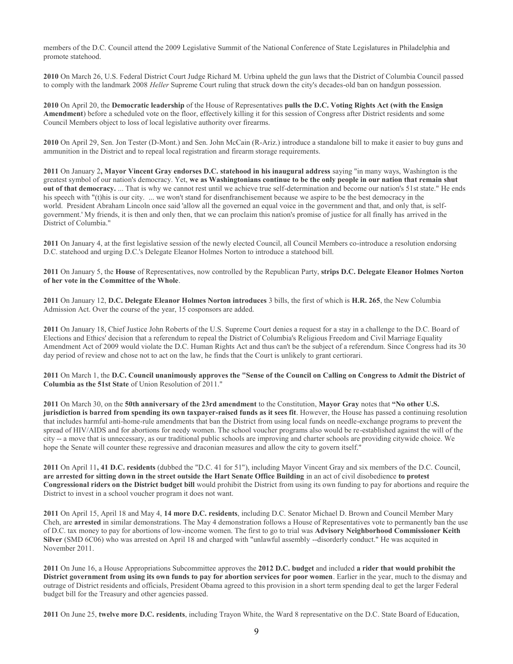members of the D.C. Council attend the 2009 Legislative Summit of the National Conference of State Legislatures in Philadelphia and promote statehood.

**2010** On March 26, U.S. Federal District Court Judge Richard M. Urbina upheld the gun laws that the District of Columbia Council passed to comply with the landmark 2008 *Heller* Supreme Court ruling that struck down the city's decades-old ban on handgun possession.

**2010** On April 20, the **Democratic leadership** of the House of Representatives **pulls the D.C. Voting Rights Act (with the Ensign Amendment**) before a scheduled vote on the floor, effectively killing it for this session of Congress after District residents and some Council Members object to loss of local legislative authority over firearms.

**2010** On April 29, Sen. Jon Tester (D-Mont.) and Sen. John McCain (R-Ariz.) introduce a standalone bill to make it easier to buy guns and ammunition in the District and to repeal local registration and firearm storage requirements.

**2011** On January 2**, Mayor Vincent Gray endorses D.C. statehood in his inaugural address** saying "in many ways, Washington is the greatest symbol of our nation's democracy. Yet, **we as Washingtonians continue to be the only people in our nation that remain shut out of that democracy.** ... That is why we cannot rest until we achieve true self-determination and become our nation's 51st state." He ends his speech with "(t)his is our city. ... we won't stand for disenfranchisement because we aspire to be the best democracy in the world. President Abraham Lincoln once said 'allow all the governed an equal voice in the government and that, and only that, is selfgovernment.' My friends, it is then and only then, that we can proclaim this nation's promise of justice for all finally has arrived in the District of Columbia."

**2011** On January 4, at the first legislative session of the newly elected Council, all Council Members co-introduce a resolution endorsing D.C. statehood and urging D.C.'s Delegate Eleanor Holmes Norton to introduce a statehood bill.

**2011** On January 5, the **House** of Representatives, now controlled by the Republican Party, **strips D.C. Delegate Eleanor Holmes Norton of her vote in the Committee of the Whole**.

**2011** On January 12, **D.C. Delegate Eleanor Holmes Norton introduces** 3 bills, the first of which is **H.R. 265**, the New Columbia Admission Act. Over the course of the year, 15 cosponsors are added.

**2011** On January 18, Chief Justice John Roberts of the U.S. Supreme Court denies a request for a stay in a challenge to the D.C. Board of Elections and Ethics' decision that a referendum to repeal the District of Columbia's Religious Freedom and Civil Marriage Equality Amendment Act of 2009 would violate the D.C. Human Rights Act and thus can't be the subject of a referendum. Since Congress had its 30 day period of review and chose not to act on the law, he finds that the Court is unlikely to grant certiorari.

**2011** On March 1, the **D.C. Council unanimously approves the "Sense of the Council on Calling on Congress to Admit the District of Columbia as the 51st State** of Union Resolution of 2011."

**2011** On March 30, on the **50th anniversary of the 23rd amendment** to the Constitution, **Mayor Gray** notes that **"No other U.S. jurisdiction is barred from spending its own taxpayer-raised funds as it sees fit**. However, the House has passed a continuing resolution that includes harmful anti-home-rule amendments that ban the District from using local funds on needle-exchange programs to prevent the spread of HIV/AIDS and for abortions for needy women. The school voucher programs also would be re-established against the will of the city -- a move that is unnecessary, as our traditional public schools are improving and charter schools are providing citywide choice. We hope the Senate will counter these regressive and draconian measures and allow the city to govern itself."

**2011** On April 11**, 41 D.C. residents** (dubbed the "D.C. 41 for 51"), including Mayor Vincent Gray and six members of the D.C. Council, **are arrested for sitting down in the street outside the Hart Senate Office Building** in an act of civil disobedience **to protest Congressional riders on the District budget bill** would prohibit the District from using its own funding to pay for abortions and require the District to invest in a school voucher program it does not want.

**2011** On April 15, April 18 and May 4, **14 more D.C. residents**, including D.C. Senator Michael D. Brown and Council Member Mary Cheh, are **arrested** in similar demonstrations. The May 4 demonstration follows a House of Representatives vote to permanently ban the use of D.C. tax money to pay for abortions of low-income women. The first to go to trial was **Advisory Neighborhood Commissioner Keith Silver** (SMD 6C06) who was arrested on April 18 and charged with "unlawful assembly --disorderly conduct." He was acquited in November 2011.

**2011** On June 16, a House Appropriations Subcommittee approves the **2012 D.C. budget** and included **a rider that would prohibit the District government from using its own funds to pay for abortion services for poor women**. Earlier in the year, much to the dismay and outrage of District residents and officials, President Obama agreed to this provision in a short term spending deal to get the larger Federal budget bill for the Treasury and other agencies passed.

**2011** On June 25, **twelve more D.C. residents**, including Trayon White, the Ward 8 representative on the D.C. State Board of Education,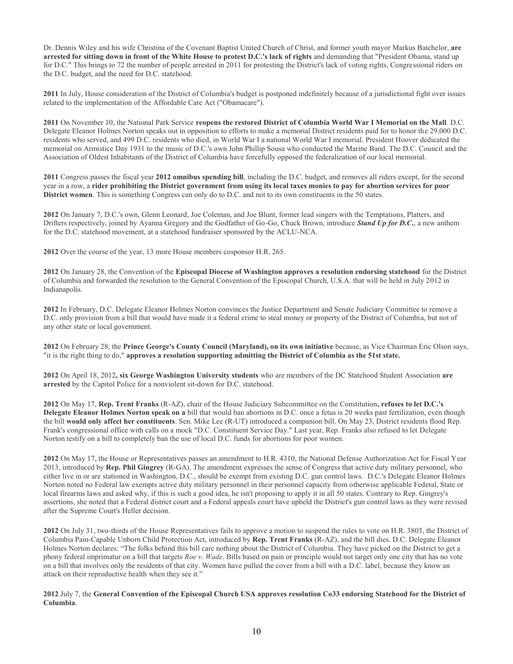Dr. Dennis Wiley and his wife Christina of the Covenant Baptist United Church of Christ, and former youth mayor Markus Batchelor, **are arrested for sitting down in front of the White House to protest D.C.'s lack of rights** and demanding that "President Obama, stand up for D.C." This brings to 72 the number of people arrested in 2011 for protesting the District's lack of voting rights, Congressional riders on the D.C. budget, and the need for D.C. statehood.

**2011** In July, House consideration of the District of Columbia's budget is postponed indefinitely because of a jurisdictional fight over issues related to the implementation of the Affordable Care Act ("Obamacare").

**2011** On November 10, the National Park Service **reopens the restored District of Columbia World War I Memorial on the Mall**. D.C. Delegate Eleanor Holmes Norton speaks out in opposition to efforts to make a memorial District residents paid for to honor the 29,000 D.C. residents who served, and 499 D.C. residents who died, in World War I a national World War I memorial. President Hoover dedicated the memorial on Armistice Day 1931 to the music of D.C.'s own John Phillip Sousa who conducted the Marine Band. The D.C. Council and the Association of Oldest Inhabitants of the District of Columbia have forcefully opposed the federalization of our local memorial.

**2011** Congress passes the fiscal year **2012 omnibus spending bill**, including the D.C. budget, and removes all riders except, for the second year in a row, a **rider prohibiting the District government from using its local taxes monies to pay for abortion services for poor District women**. This is something Congress can only do to D.C. and not to its own constituents in the 50 states.

**2012** On January 7, D.C.'s own, Glenn Leonard, Joe Coleman, and Joe Blunt, former lead singers with the Temptations, Platters, and Drifters respectively, joined by Ayanna Gregory and the Godfather of Go-Go, Chuck Brown, introduce *Stand Up for D.C***.**, a new anthem for the D.C. statehood movement, at a statehood fundraiser sponsored by the ACLU-NCA.

**2012** Over the course of the year, 13 more House members cosponsor H.R. 265.

**2012** On January 28, the Convention of the **Episcopal Diocese of Washington approves a resolution endorsing statehood** for the District of Columbia and forwarded the resolution to the General Convention of the Episcopal Church, U.S.A. that will be held in July 2012 in Indianapolis.

**2012** In February, D.C. Delegate Eleanor Holmes Norton convinces the Justice Department and Senate Judiciary Committee to remove a D.C. only provision from a bill that would have made it a federal crime to steal money or property of the District of Columbia, but not of any other state or local government.

**2012** On February 28, the **Prince George's County Council (Maryland), on its own initiative** because, as Vice Chairman Eric Olson says, "it is the right thing to do," **approves a resolution supporting admitting the District of Columbia as the 51st state.**

**2012** On April 18, 2012**, six George Washington University students** who are members of the DC Statehood Student Association **are arrested** by the Capitol Police for a nonviolent sit-down for D.C. statehood.

**2012** On May 17, **Rep. Trent Franks** (R-AZ), chair of the House Judiciary Subcommittee on the Constitution**, refuses to let D.C.'s Delegate Eleanor Holmes Norton speak on a** bill that would ban abortions in D.C. once a fetus is 20 weeks past fertilization, even though the bill **would only affect her constituents**. Sen. Mike Lee (R-UT) introduced a companion bill. On May 23, District residents flood Rep. Frank's congressional office with calls on a mock "D.C. Constituent Service Day." Last year, Rep. Franks also refused to let Delegate Norton testify on a bill to completely ban the use of local D.C. funds for abortions for poor women.

**2012** On May 17, the House or Representatives passes an amendment to H.R. 4310, the National Defense Authorization Act for Fiscal Year 2013, introduced by **Rep. Phil Gingrey** (R-GA). The amendment expresses the sense of Congress that active duty military personnel, who either live in or are stationed in Washington, D.C., should be exempt from existing D.C. gun control laws. D.C.'s Delegate Eleanor Holmes Norton noted no Federal law exempts active duty military personnel in their personnel capacity from otherwise applicable Federal, State or local firearms laws and asked why, if this is such a good idea, he isn't proposing to apply it in all 50 states. Contrary to Rep. Gingrey's assertions, she noted that a Federal district court and a Federal appeals court have upheld the District's gun control laws as they were revised after the Supreme Court's Heller decision.

**2012** On July 31, two-thirds of the House Representatives fails to approve a motion to suspend the rules to vote on H.R. 3803, the District of Columbia Pain-Capable Unborn Child Protection Act, introduced by **Rep. Trent Franks** (R-AZ), and the bill dies. D.C. Delegate Eleanor Holmes Norton declares: "The folks behind this bill care nothing about the District of Columbia. They have picked on the District to get a phony federal imprimatur on a bill that targets *Roe v. Wade*. Bills based on pain or principle would not target only one city that has no vote on a bill that involves only the residents of that city. Women have pulled the cover from a bill with a D.C. label, because they know an attack on their reproductive health when they see it."

**2012** July 7, the **General Convention of the Episcopal Church USA approves resolution Co33 endorsing Statehood for the District of Columbia**.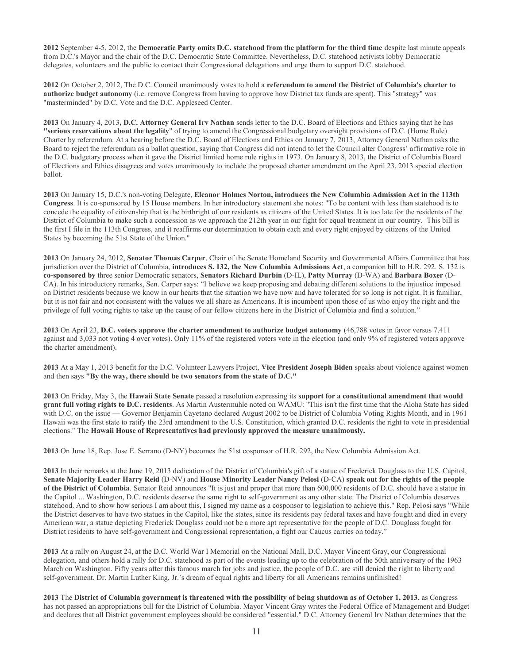**2012** September 4-5, 2012, the **Democratic Party omits D.C. statehood from the platform for the third time** despite last minute appeals from D.C.'s Mayor and the chair of the D.C. Democratic State Committee. Nevertheless, D.C. statehood activists lobby Democratic delegates, volunteers and the public to contact their Congressional delegations and urge them to support D.C. statehood.

**2012** On October 2, 2012, The D.C. Council unanimously votes to hold a **referendum to amend the District of Columbia's charter to authorize budget autonomy** (i.e. remove Congress from having to approve how District tax funds are spent). This "strategy" was "masterminded" by D.C. Vote and the D.C. Appleseed Center.

**2013** On January 4, 2013**, D.C. Attorney General Irv Nathan** sends letter to the D.C. Board of Elections and Ethics saying that he has **"serious reservations about the legality**" of trying to amend the Congressional budgetary oversight provisions of D.C. (Home Rule) Charter by referendum. At a hearing before the D.C. Board of Elections and Ethics on January 7, 2013, Attorney General Nathan asks the Board to reject the referendum as a ballot question, saying that Congress did not intend to let the Council alter Congress' affirmative role in the D.C. budgetary process when it gave the District limited home rule rights in 1973. On January 8, 2013, the District of Columbia Board of Elections and Ethics disagrees and votes unanimously to include the proposed charter amendment on the April 23, 2013 special election ballot.

**2013** On January 15, D.C.'s non-voting Delegate, **Eleanor Holmes Norton, introduces the New Columbia Admission Act in the 113th Congress**. It is co-sponsored by 15 House members. In her introductory statement she notes: "To be content with less than statehood is to concede the equality of citizenship that is the birthright of our residents as citizens of the United States. It is too late for the residents of the District of Columbia to make such a concession as we approach the 212th year in our fight for equal treatment in our country. This bill is the first I file in the 113th Congress, and it reaffirms our determination to obtain each and every right enjoyed by citizens of the United States by becoming the 51st State of the Union."

**2013** On January 24, 2012, **Senator Thomas Carper**, Chair of the Senate Homeland Security and Governmental Affairs Committee that has jurisdiction over the District of Columbia, **introduces S. 132, the New Columbia Admissions Act**, a companion bill to H.R. 292. S. 132 is **co-sponsored by** three senior Democratic senators, **Senators Richard Durbin** (D-IL), **Patty Murray** (D-WA) and **Barbara Boxer** (D-CA). In his introductory remarks, Sen. Carper says: "I believe we keep proposing and debating different solutions to the injustice imposed on District residents because we know in our hearts that the situation we have now and have tolerated for so long is not right. It is familiar, but it is not fair and not consistent with the values we all share as Americans. It is incumbent upon those of us who enjoy the right and the privilege of full voting rights to take up the cause of our fellow citizens here in the District of Columbia and find a solution."

**2013** On April 23, **D.C. voters approve the charter amendment to authorize budget autonomy** (46,788 votes in favor versus 7,411 against and 3,033 not voting 4 over votes). Only 11% of the registered voters vote in the election (and only 9% of registered voters approve the charter amendment).

**2013** At a May 1, 2013 benefit for the D.C. Volunteer Lawyers Project, **Vice President Joseph Biden** speaks about violence against women and then says **"By the way, there should be two senators from the state of D.C."**

**2013** On Friday, May 3, the **Hawaii State Senate** passed a resolution expressing its **support for a constitutional amendment that would grant full voting rights to D.C. residents**. As Martin Austermuhle noted on WAMU: "This isn't the first time that the Aloha State has sided with D.C. on the issue — Governor Benjamin Cayetano declared August 2002 to be District of Columbia Voting Rights Month, and in 1961 Hawaii was the first state to ratify the 23rd amendment to the U.S. Constitution, which granted D.C. residents the right to vote in presidential elections." The **Hawaii House of Representatives had previously approved the measure unanimously.**

**2013** On June 18, Rep. Jose E. Serrano (D-NY) becomes the 51st cosponsor of H.R. 292, the New Columbia Admission Act.

**2013** In their remarks at the June 19, 2013 dedication of the District of Columbia's gift of a statue of Frederick Douglass to the U.S. Capitol, **Senate Majority Leader Harry Reid** (D-NV) and **House Minority Leader Nancy Pelosi** (D-CA) **speak out for the rights of the people of the District of Columbia**. Senator Reid announces "It is just and proper that more than 600,000 residents of D.C. should have a statue in the Capitol ... Washington, D.C. residents deserve the same right to self-government as any other state. The District of Columbia deserves statehood. And to show how serious I am about this, I signed my name as a cosponsor to legislation to achieve this." Rep. Pelosi says "While the District deserves to have two statues in the Capitol, like the states, since its residents pay federal taxes and have fought and died in every American war, a statue depicting Frederick Douglass could not be a more apt representative for the people of D.C. Douglass fought for District residents to have self-government and Congressional representation, a fight our Caucus carries on today."

**2013** At a rally on August 24, at the D.C. World War I Memorial on the National Mall, D.C. Mayor Vincent Gray, our Congressional delegation, and others hold a rally for D.C. statehood as part of the events leading up to the celebration of the 50th anniversary of the 1963 March on Washington. Fifty years after this famous march for jobs and justice, the people of D.C. are still denied the right to liberty and self-government. Dr. Martin Luther King, Jr.'s dream of equal rights and liberty for all Americans remains unfinished!

**2013** The **District of Columbia government is threatened with the possibility of being shutdown as of October 1, 2013**, as Congress has not passed an appropriations bill for the District of Columbia. Mayor Vincent Gray writes the Federal Office of Management and Budget and declares that all District government employees should be considered "essential." D.C. Attorney General Irv Nathan determines that the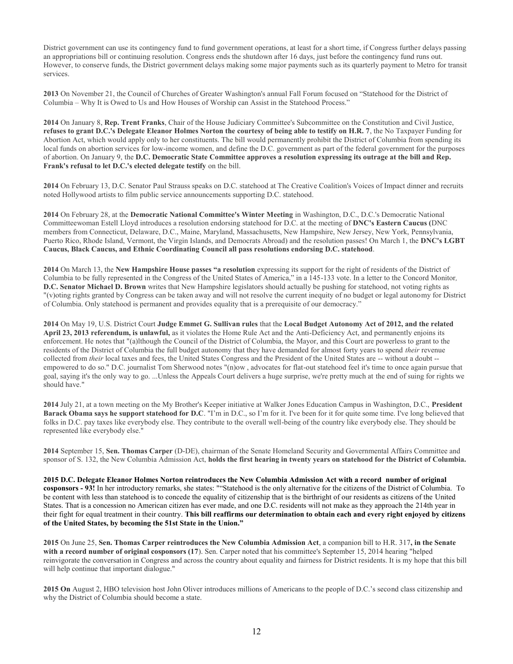District government can use its contingency fund to fund government operations, at least for a short time, if Congress further delays passing an appropriations bill or continuing resolution. Congress ends the shutdown after 16 days, just before the contingency fund runs out. However, to conserve funds, the District government delays making some major payments such as its quarterly payment to Metro for transit services.

**2013** On November 21, the Council of Churches of Greater Washington's annual Fall Forum focused on "Statehood for the District of Columbia – Why It is Owed to Us and How Houses of Worship can Assist in the Statehood Process."

**2014** On January 8, **Rep. Trent Franks**, Chair of the House Judiciary Committee's Subcommittee on the Constitution and Civil Justice, **refuses to grant D.C.'s Delegate Eleanor Holmes Norton the courtesy of being able to testify on H.R. 7**, the No Taxpayer Funding for Abortion Act, which would apply only to her constituents. The bill would permanently prohibit the District of Columbia from spending its local funds on abortion services for low-income women, and define the D.C. government as part of the federal government for the purposes of abortion. On January 9, the **D.C. Democratic State Committee approves a resolution expressing its outrage at the bill and Rep. Frank's refusal to let D.C.'s elected delegate testify** on the bill.

**2014** On February 13, D.C. Senator Paul Strauss speaks on D.C. statehood at The Creative Coalition's Voices of Impact dinner and recruits noted Hollywood artists to film public service announcements supporting D.C. statehood.

**2014** On February 28, at the **Democratic National Committee's Winter Meeting** in Washington, D.C., D.C.'s Democratic National Committeewoman Estell Lloyd introduces a resolution endorsing statehood for D.C. at the meeting of **DNC's Eastern Caucus (**DNC members from Connecticut, Delaware, D.C., Maine, Maryland, Massachusetts, New Hampshire, New Jersey, New York, Pennsylvania, Puerto Rico, Rhode Island, Vermont, the Virgin Islands, and Democrats Abroad) and the resolution passes! On March 1, the **DNC's LGBT Caucus, Black Caucus, and Ethnic Coordinating Council all pass resolutions endorsing D.C. statehood**.

**2014** On March 13, the **New Hampshire House passes "a resolution** expressing its support for the right of residents of the District of Columbia to be fully represented in the Congress of the United States of America," in a 145-133 vote. In a letter to the Concord Monitor*,* **D.C. Senator Michael D. Brown** writes that New Hampshire legislators should actually be pushing for statehood, not voting rights as "(v)oting rights granted by Congress can be taken away and will not resolve the current inequity of no budget or legal autonomy for District of Columbia. Only statehood is permanent and provides equality that is a prerequisite of our democracy."

**2014** On May 19, U.S. District Court **Judge Emmet G. Sullivan rules** that the **Local Budget Autonomy Act of 2012, and the related April 23, 2013 referendum, is unlawful,** as it violates the Home Rule Act and the Anti-Deficiency Act, and permanently enjoins its enforcement. He notes that "(a)lthough the Council of the District of Columbia, the Mayor, and this Court are powerless to grant to the residents of the District of Columbia the full budget autonomy that they have demanded for almost forty years to spend *their* revenue collected from *their* local taxes and fees, the United States Congress and the President of the United States are -- without a doubt - empowered to do so." D.C. journalist Tom Sherwood notes "(n)ow , advocates for flat-out statehood feel it's time to once again pursue that goal, saying it's the only way to go. ...Unless the Appeals Court delivers a huge surprise, we're pretty much at the end of suing for rights we should have."

**2014** July 21, at a town meeting on the My Brother's Keeper initiative at Walker Jones Education Campus in Washington, D.C., **President Barack Obama says he support statehood for D.C**. "I'm in D.C., so I'm for it. I've been for it for quite some time. I've long believed that folks in D.C. pay taxes like everybody else. They contribute to the overall well-being of the country like everybody else. They should be represented like everybody else."

**2014** September 15, **Sen. Thomas Carper** (D-DE), chairman of the Senate Homeland Security and Governmental Affairs Committee and sponsor of S. 132, the New Columbia Admission Act, **holds the first hearing in twenty years on statehood for the District of Columbia.**

**2015 D.C. Delegate Eleanor Holmes Norton reintroduces the New Columbia Admission Act with a record number of original cosponsors - 93!** In her introductory remarks, she states: ""Statehood is the only alternative for the citizens of the District of Columbia. To be content with less than statehood is to concede the equality of citizenship that is the birthright of our residents as citizens of the United States. That is a concession no American citizen has ever made, and one D.C. residents will not make as they approach the 214th year in their fight for equal treatment in their country. **This bill reaffirms our determination to obtain each and every right enjoyed by citizens of the United States, by becoming the 51st State in the Union."**

**2015** On June 25, **Sen. Thomas Carper reintroduces the New Columbia Admission Act**, a companion bill to H.R. 317**, in the Senate with a record number of original cosponsors (17**). Sen. Carper noted that his committee's September 15, 2014 hearing "helped reinvigorate the conversation in Congress and across the country about equality and fairness for District residents. It is my hope that this bill will help continue that important dialogue."

**2015 On** August 2, HBO television host John Oliver introduces millions of Americans to the people of D.C.'s second class citizenship and why the District of Columbia should become a state.